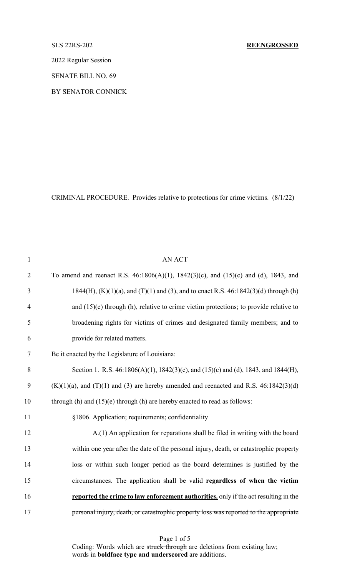# SLS 22RS-202 **REENGROSSED**

2022 Regular Session

SENATE BILL NO. 69

BY SENATOR CONNICK

CRIMINAL PROCEDURE. Provides relative to protections for crime victims. (8/1/22)

| $\mathbf{1}$   | <b>AN ACT</b>                                                                                   |
|----------------|-------------------------------------------------------------------------------------------------|
| $\overline{2}$ | To amend and reenact R.S. $46:1806(A)(1)$ , $1842(3)(c)$ , and $(15)(c)$ and $(d)$ , 1843, and  |
| 3              | $1844(H)$ , (K)(1)(a), and (T)(1) and (3), and to enact R.S. 46:1842(3)(d) through (h)          |
| $\overline{4}$ | and $(15)(e)$ through (h), relative to crime victim protections; to provide relative to         |
| 5              | broadening rights for victims of crimes and designated family members; and to                   |
| 6              | provide for related matters.                                                                    |
| $\tau$         | Be it enacted by the Legislature of Louisiana:                                                  |
| 8              | Section 1. R.S. 46:1806(A)(1), 1842(3)(c), and (15)(c) and (d), 1843, and 1844(H),              |
| 9              | $(K)(1)(a)$ , and $(T)(1)$ and $(3)$ are hereby amended and reenacted and R.S. 46:1842 $(3)(d)$ |
| 10             | through $(h)$ and $(15)(e)$ through $(h)$ are hereby enacted to read as follows:                |
| 11             | §1806. Application; requirements; confidentiality                                               |
| 12             | A.(1) An application for reparations shall be filed in writing with the board                   |
| 13             | within one year after the date of the personal injury, death, or catastrophic property          |
| 14             | loss or within such longer period as the board determines is justified by the                   |
| 15             | circumstances. The application shall be valid regardless of when the victim                     |
| 16             | reported the crime to law enforcement authorities, only if the act resulting in the             |
| 17             | personal injury, death, or catastrophic property loss was reported to the appropriate           |

Page 1 of 5 Coding: Words which are struck through are deletions from existing law; words in **boldface type and underscored** are additions.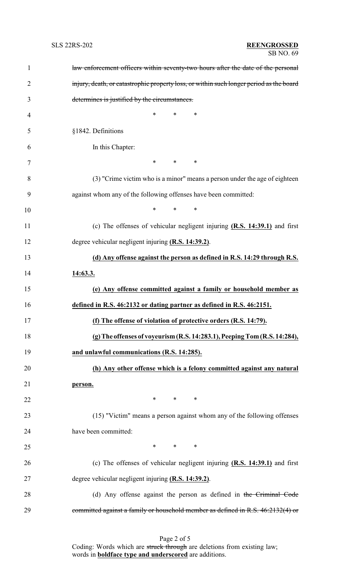| $\mathbf{1}$   | law enforcement officers within seventy-two hours after the date of the personal        |
|----------------|-----------------------------------------------------------------------------------------|
| $\overline{2}$ | injury, death, or catastrophic property loss, or within such longer period as the board |
| 3              | determines is justified by the circumstances.                                           |
| $\overline{4}$ | *<br>$\ast$<br>∗                                                                        |
| 5              | §1842. Definitions                                                                      |
| 6              | In this Chapter:                                                                        |
| 7              | $*$ $*$<br>$*$ and $*$<br>∗                                                             |
| 8              | (3) "Crime victim who is a minor" means a person under the age of eighteen              |
| 9              | against whom any of the following offenses have been committed:                         |
| 10             | $\ast$<br>$*$<br>∗                                                                      |
| 11             | (c) The offenses of vehicular negligent injuring (R.S. 14:39.1) and first               |
| 12             | degree vehicular negligent injuring (R.S. 14:39.2).                                     |
| 13             | (d) Any offense against the person as defined in R.S. 14:29 through R.S.                |
| 14             | 14:63.3.                                                                                |
| 15             | (e) Any offense committed against a family or household member as                       |
| 16             | defined in R.S. 46:2132 or dating partner as defined in R.S. 46:2151.                   |
| 17             | (f) The offense of violation of protective orders (R.S. 14:79).                         |
| 18             | (g) The offenses of voyeurism (R.S. 14:283.1), Peeping Tom (R.S. 14:284),               |
| 19             | and unlawful communications (R.S. 14:285).                                              |
| 20             | (h) Any other offense which is a felony committed against any natural                   |
| 21             | person.                                                                                 |
| 22             | $*$ * *                                                                                 |
| 23             | (15) "Victim" means a person against whom any of the following offenses                 |
| 24             | have been committed:                                                                    |
| 25             | $*$<br>$*$ and $*$<br>∗                                                                 |
| 26             | (c) The offenses of vehicular negligent injuring $(R.S. 14:39.1)$ and first             |
| 27             | degree vehicular negligent injuring (R.S. 14:39.2).                                     |
| 28             | (d) Any offense against the person as defined in the Criminal Code                      |
| 29             | committed against a family or household member as defined in R.S. 46:2132(4) or         |

Page 2 of 5 Coding: Words which are struck through are deletions from existing law; words in **boldface type and underscored** are additions.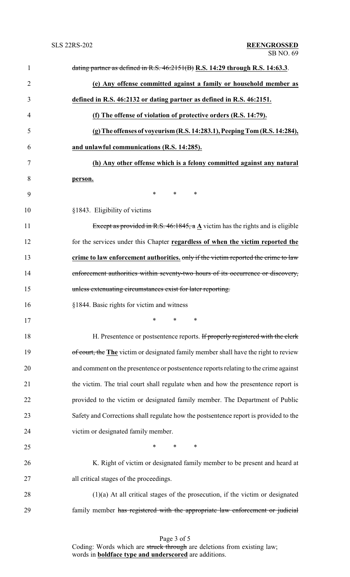| $\mathbf{1}$   | dating partner as defined in R.S. $46:2151(B)$ R.S. 14:29 through R.S. 14:63.3.             |
|----------------|---------------------------------------------------------------------------------------------|
| $\overline{2}$ | (e) Any offense committed against a family or household member as                           |
| 3              | defined in R.S. 46:2132 or dating partner as defined in R.S. 46:2151.                       |
| 4              | (f) The offense of violation of protective orders (R.S. 14:79).                             |
| 5              | (g) The offenses of voyeurism (R.S. 14:283.1), Peeping Tom (R.S. 14:284),                   |
| 6              | and unlawful communications (R.S. 14:285).                                                  |
| 7              | (h) Any other offense which is a felony committed against any natural                       |
| 8              | person.                                                                                     |
| 9              | $*$ $*$<br>$*$ $*$<br>∗                                                                     |
| 10             | §1843. Eligibility of victims                                                               |
| 11             | Except as provided in R.S. 46:1845, a $\underline{A}$ victim has the rights and is eligible |
| 12             | for the services under this Chapter regardless of when the victim reported the              |
| 13             | crime to law enforcement authorities, only if the victim reported the crime to law          |
| 14             | enforcement authorities within seventy-two hours of its occurrence or discovery,            |
| 15             | unless extenuating circumstances exist for later reporting.                                 |
| 16             | §1844. Basic rights for victim and witness                                                  |
| 17             | *<br>∗<br>∗                                                                                 |
| 18             | H. Presentence or postsentence reports. If properly registered with the clerk               |
| 19             | of court, the The victim or designated family member shall have the right to review         |
| 20             | and comment on the presentence or postsentence reports relating to the crime against        |
| 21             | the victim. The trial court shall regulate when and how the presentence report is           |
| 22             | provided to the victim or designated family member. The Department of Public                |
| 23             | Safety and Corrections shall regulate how the postsentence report is provided to the        |
| 24             | victim or designated family member.                                                         |
| 25             | $\ast$<br>$\ast$<br>$\ast$                                                                  |
| 26             | K. Right of victim or designated family member to be present and heard at                   |
| 27             | all critical stages of the proceedings.                                                     |
| 28             | $(1)(a)$ At all critical stages of the prosecution, if the victim or designated             |
| 29             | family member has registered with the appropriate law enforcement or judicial               |

Page 3 of 5 Coding: Words which are struck through are deletions from existing law; words in **boldface type and underscored** are additions.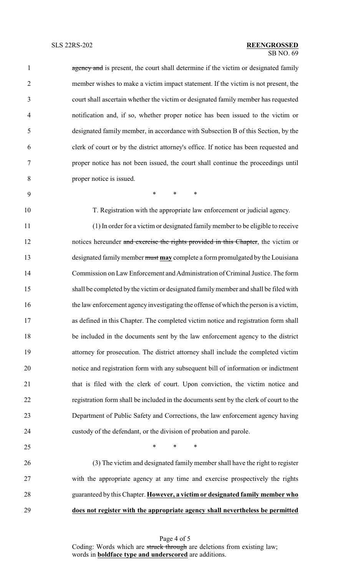### $\overline{SB}$  NO. 69 SLS 22RS-202 **REENGROSSED**

1 agency and is present, the court shall determine if the victim or designated family member wishes to make a victim impact statement. If the victim is not present, the court shall ascertain whether the victim or designated family member has requested notification and, if so, whether proper notice has been issued to the victim or designated family member, in accordance with Subsection B of this Section, by the clerk of court or by the district attorney's office. If notice has been requested and proper notice has not been issued, the court shall continue the proceedings until proper notice is issued.

\* \* \*

T. Registration with the appropriate law enforcement or judicial agency.

 (1) In order for a victim or designated familymember to be eligible to receive 12 notices hereunder and exercise the rights provided in this Chapter, the victim or designated familymember must **may** complete a form promulgated by the Louisiana Commission on Law Enforcement and Administration of Criminal Justice. The form shall be completed by the victim or designated familymember and shall be filed with the law enforcement agency investigating the offense of which the person is a victim, as defined in this Chapter. The completed victim notice and registration form shall be included in the documents sent by the law enforcement agency to the district attorney for prosecution. The district attorney shall include the completed victim notice and registration form with any subsequent bill of information or indictment that is filed with the clerk of court. Upon conviction, the victim notice and registration form shall be included in the documents sent by the clerk of court to the Department of Public Safety and Corrections, the law enforcement agency having custody of the defendant, or the division of probation and parole.

 $*$  \* \* \*

 (3) The victim and designated family member shall have the right to register with the appropriate agency at any time and exercise prospectively the rights guaranteed by this Chapter. **However, a victim or designated family member who does not register with the appropriate agency shall nevertheless be permitted**

> Page 4 of 5 Coding: Words which are struck through are deletions from existing law; words in **boldface type and underscored** are additions.